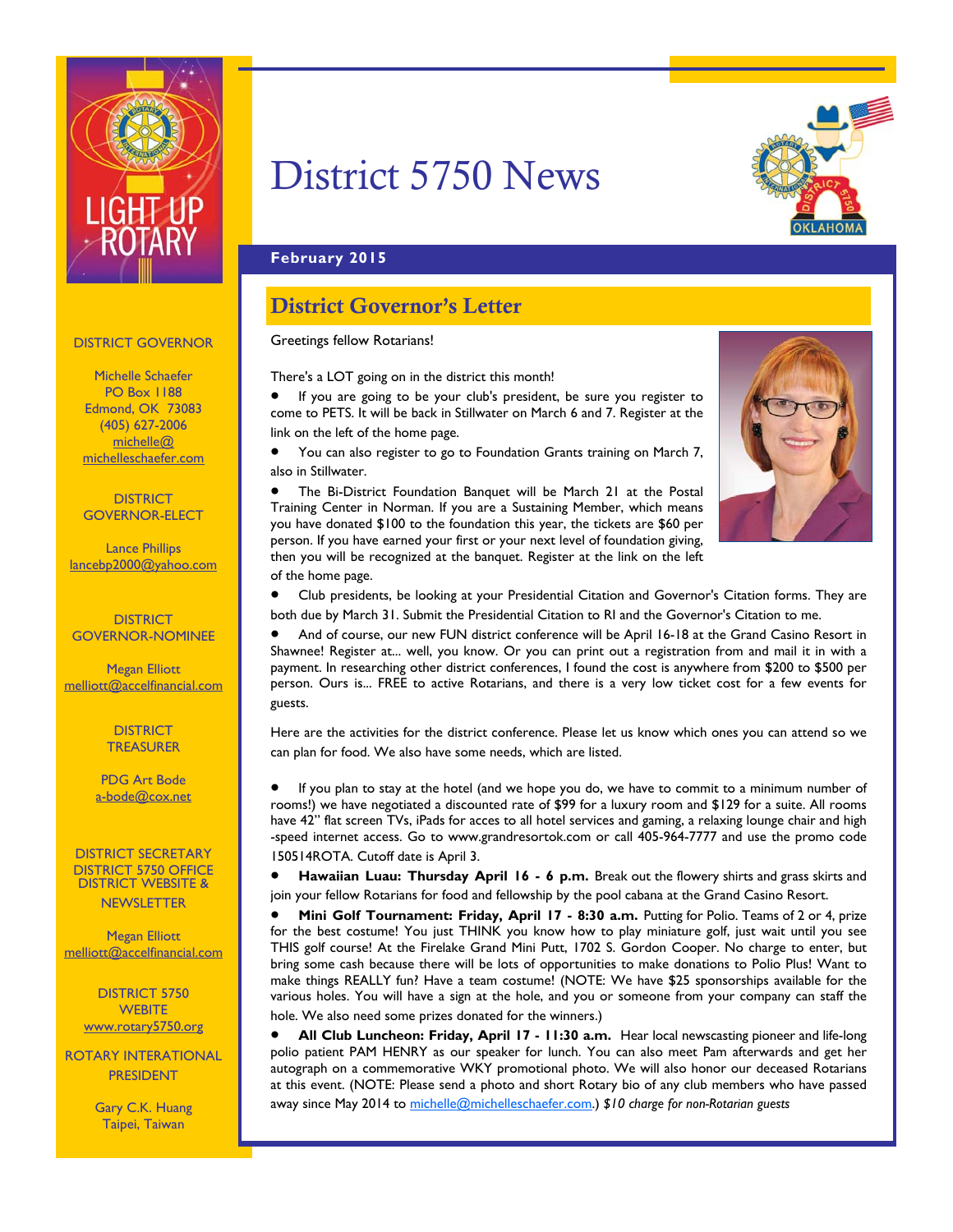

# District 5750 News



#### **February 2015**

### District Governor's Letter

#### Greetings fellow Rotarians!

There's a LOT going on in the district this month!

 If you are going to be your club's president, be sure you register to come to PETS. It will be back in Stillwater on March 6 and 7. Register at the link on the left of the home page.

 You can also register to go to Foundation Grants training on March 7, also in Stillwater.

 The Bi-District Foundation Banquet will be March 21 at the Postal Training Center in Norman. If you are a Sustaining Member, which means you have donated \$100 to the foundation this year, the tickets are \$60 per person. If you have earned your first or your next level of foundation giving, then you will be recognized at the banquet. Register at the link on the left of the home page.



 Club presidents, be looking at your Presidential Citation and Governor's Citation forms. They are both due by March 31. Submit the Presidential Citation to RI and the Governor's Citation to me.

 And of course, our new FUN district conference will be April 16-18 at the Grand Casino Resort in Shawnee! Register at... well, you know. Or you can print out a registration from and mail it in with a payment. In researching other district conferences, I found the cost is anywhere from \$200 to \$500 per person. Ours is... FREE to active Rotarians, and there is a very low ticket cost for a few events for guests.

Here are the activities for the district conference. Please let us know which ones you can attend so we can plan for food. We also have some needs, which are listed.

 If you plan to stay at the hotel (and we hope you do, we have to commit to a minimum number of rooms!) we have negotiated a discounted rate of \$99 for a luxury room and \$129 for a suite. All rooms have 42" flat screen TVs, iPads for acces to all hotel services and gaming, a relaxing lounge chair and high -speed internet access. Go to www.grandresortok.com or call 405-964-7777 and use the promo code 150514ROTA. Cutoff date is April 3.

 **Hawaiian Luau: Thursday April 16 - 6 p.m.** Break out the flowery shirts and grass skirts and join your fellow Rotarians for food and fellowship by the pool cabana at the Grand Casino Resort.

**Mini Golf Tournament: Friday, April 17 - 8:30 a.m. Putting for Polio. Teams of 2 or 4, prize** for the best costume! You just THINK you know how to play miniature golf, just wait until you see THIS golf course! At the Firelake Grand Mini Putt, 1702 S. Gordon Cooper. No charge to enter, but bring some cash because there will be lots of opportunities to make donations to Polio Plus! Want to make things REALLY fun? Have a team costume! (NOTE: We have \$25 sponsorships available for the various holes. You will have a sign at the hole, and you or someone from your company can staff the hole. We also need some prizes donated for the winners.)

 **All Club Luncheon: Friday, April 17 - 11:30 a.m.** Hear local newscasting pioneer and life-long polio patient PAM HENRY as our speaker for lunch. You can also meet Pam afterwards and get her autograph on a commemorative WKY promotional photo. We will also honor our deceased Rotarians at this event. (NOTE: Please send a photo and short Rotary bio of any club members who have passed away since May 2014 to michelle@michelleschaefer.com.) *\$10 charge for non-Rotarian guests*

#### DISTRICT GOVERNOR

Michelle Schaefer PO Box 1188 Edmond, OK 73083 (405) 627-2006 michelle@ michelleschaefer.com

**DISTRICT** GOVERNOR-ELECT

Lance Phillips lancebp2000@yahoo.com

**DISTRICT** GOVERNOR-NOMINEE

Megan Elliott melliott@accelfinancial.com

> **DISTRICT TREASURER**

PDG Art Bode a-bode@cox.net

DISTRICT SECRETARY DISTRICT 5750 OFFICE DISTRICT WEBSITE & **NEWSLETTER** 

Megan Elliott melliott@accelfinancial.com

DISTRICT 5750 **WEBITE** www.rotary5750.org

ROTARY INTERATIONAL PRESIDENT

> Gary C.K. Huang Taipei, Taiwan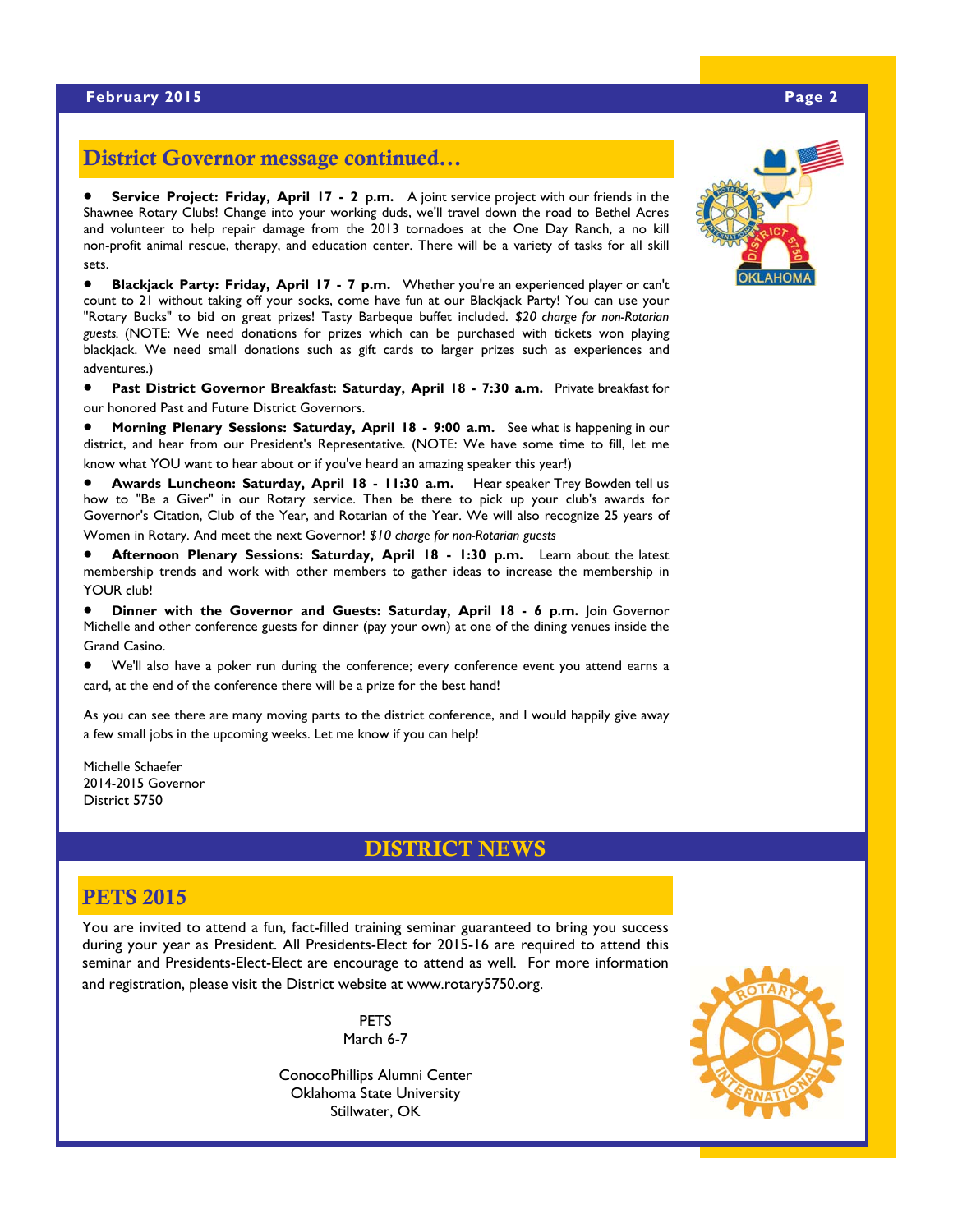# District Governor message continued...

 **Service Project: Friday, April 17 - 2 p.m.** A joint service project with our friends in the Shawnee Rotary Clubs! Change into your working duds, we'll travel down the road to Bethel Acres and volunteer to help repair damage from the 2013 tornadoes at the One Day Ranch, a no kill non-profit animal rescue, therapy, and education center. There will be a variety of tasks for all skill sets.

 **Blackjack Party: Friday, April 17 - 7 p.m.** Whether you're an experienced player or can't count to 21 without taking off your socks, come have fun at our Blackjack Party! You can use your "Rotary Bucks" to bid on great prizes! Tasty Barbeque buffet included. *\$20 charge for non-Rotarian guests.* (NOTE: We need donations for prizes which can be purchased with tickets won playing blackjack. We need small donations such as gift cards to larger prizes such as experiences and adventures.)

 **Past District Governor Breakfast: Saturday, April 18 - 7:30 a.m.** Private breakfast for our honored Past and Future District Governors.

 **Morning Plenary Sessions: Saturday, April 18 - 9:00 a.m.** See what is happening in our district, and hear from our President's Representative. (NOTE: We have some time to fill, let me know what YOU want to hear about or if you've heard an amazing speaker this year!)

 **Awards Luncheon: Saturday, April 18 - 11:30 a.m.** Hear speaker Trey Bowden tell us how to "Be a Giver" in our Rotary service. Then be there to pick up your club's awards for Governor's Citation, Club of the Year, and Rotarian of the Year. We will also recognize 25 years of Women in Rotary. And meet the next Governor! *\$10 charge for non-Rotarian guests*

 **Afternoon Plenary Sessions: Saturday, April 18 - 1:30 p.m.** Learn about the latest membership trends and work with other members to gather ideas to increase the membership in YOUR club!

**Dinner with the Governor and Guests: Saturday, April 18 - 6 p.m.** Join Governor Michelle and other conference guests for dinner (pay your own) at one of the dining venues inside the Grand Casino.

 We'll also have a poker run during the conference; every conference event you attend earns a card, at the end of the conference there will be a prize for the best hand!

As you can see there are many moving parts to the district conference, and I would happily give away a few small jobs in the upcoming weeks. Let me know if you can help!

Michelle Schaefer 2014-2015 Governor District 5750

#### DISTRICT NEWS

#### **PETS 2015**

You are invited to attend a fun, fact-filled training seminar guaranteed to bring you success during your year as President. All Presidents-Elect for 2015-16 are required to attend this seminar and Presidents-Elect-Elect are encourage to attend as well. For more information and registration, please visit the District website at www.rotary5750.org.

> PETS March 6-7

ConocoPhillips Alumni Center Oklahoma State University Stillwater, OK



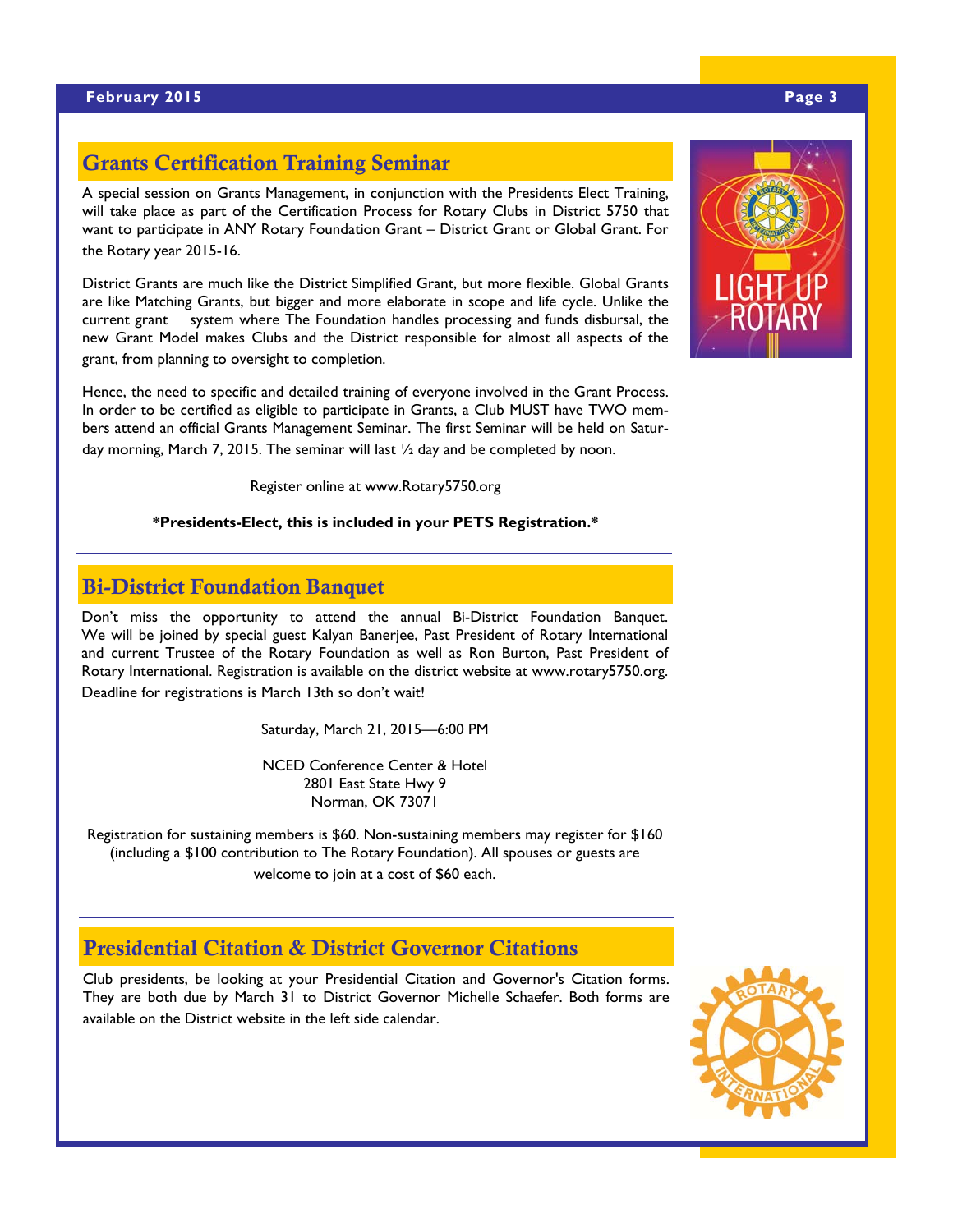### Grants Certification Training Seminar

A special session on Grants Management, in conjunction with the Presidents Elect Training, will take place as part of the Certification Process for Rotary Clubs in District 5750 that want to participate in ANY Rotary Foundation Grant – District Grant or Global Grant. For the Rotary year 2015-16.

District Grants are much like the District Simplified Grant, but more flexible. Global Grants are like Matching Grants, but bigger and more elaborate in scope and life cycle. Unlike the current grant system where The Foundation handles processing and funds disbursal, the new Grant Model makes Clubs and the District responsible for almost all aspects of the grant, from planning to oversight to completion.

Hence, the need to specific and detailed training of everyone involved in the Grant Process. In order to be certified as eligible to participate in Grants, a Club MUST have TWO members attend an official Grants Management Seminar. The first Seminar will be held on Saturday morning, March 7, 2015. The seminar will last  $\frac{1}{2}$  day and be completed by noon.

Register online at www.Rotary5750.org

#### **\*Presidents-Elect, this is included in your PETS Registration.\***

#### Bi-District Foundation Banquet

Don't miss the opportunity to attend the annual Bi-District Foundation Banquet. We will be joined by special guest Kalyan Banerjee, Past President of Rotary International and current Trustee of the Rotary Foundation as well as Ron Burton, Past President of Rotary International. Registration is available on the district website at www.rotary5750.org. Deadline for registrations is March 13th so don't wait!

Saturday, March 21, 2015—6:00 PM

NCED Conference Center & Hotel 2801 East State Hwy 9 Norman, OK 73071

Registration for sustaining members is \$60. Non-sustaining members may register for \$160 (including a \$100 contribution to The Rotary Foundation). All spouses or guests are welcome to join at a cost of \$60 each.

Presidential Citation & District Governor Citations

Club presidents, be looking at your Presidential Citation and Governor's Citation forms. They are both due by March 31 to District Governor Michelle Schaefer. Both forms are available on the District website in the left side calendar.



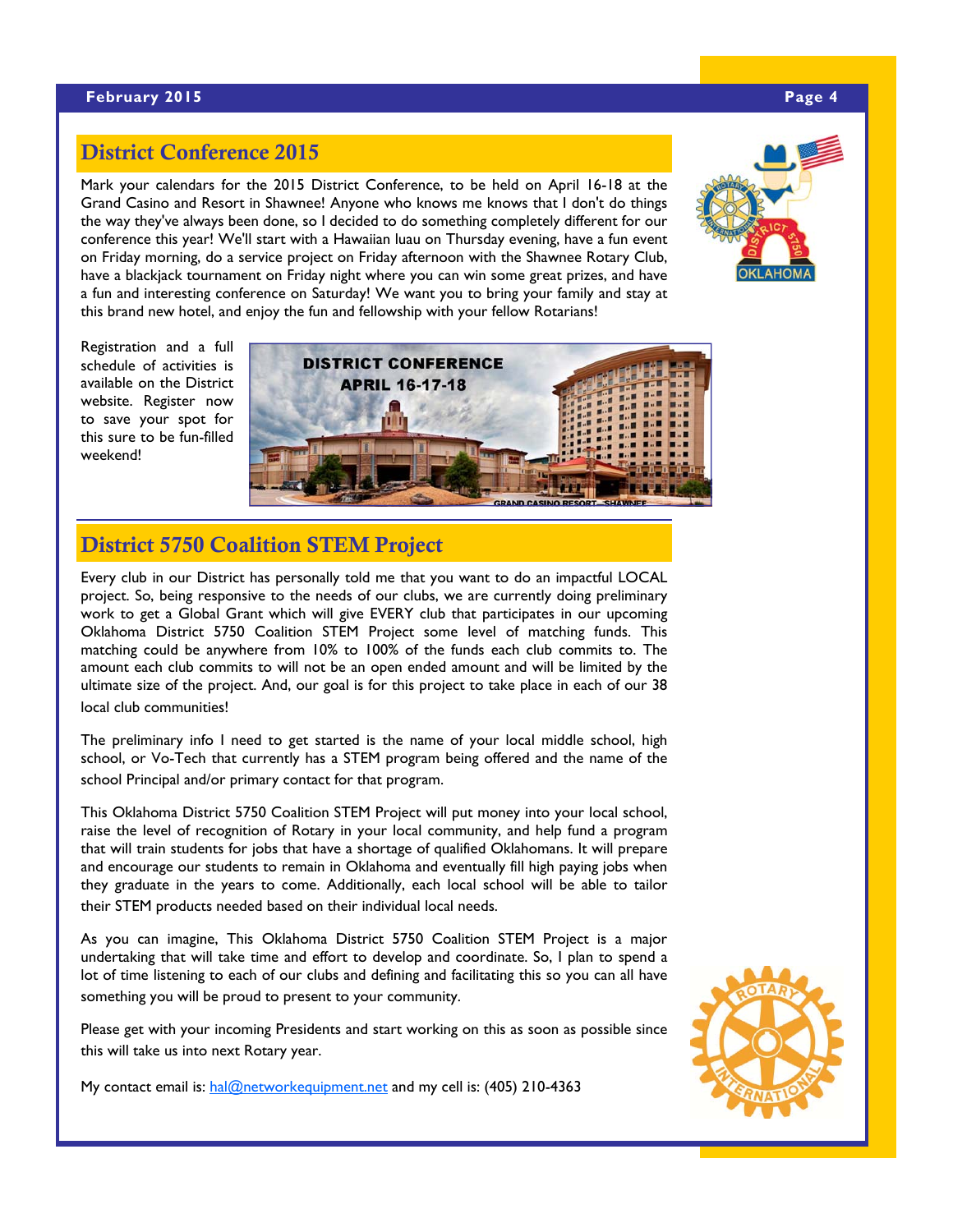#### **February 2015 Page 4 Page 4 Page 4 Page 4 Page 4 Page 4 Page 4**

### District Conference 2015

Mark your calendars for the 2015 District Conference, to be held on April 16-18 at the Grand Casino and Resort in Shawnee! Anyone who knows me knows that I don't do things the way they've always been done, so I decided to do something completely different for our conference this year! We'll start with a Hawaiian luau on Thursday evening, have a fun event on Friday morning, do a service project on Friday afternoon with the Shawnee Rotary Club, have a blackjack tournament on Friday night where you can win some great prizes, and have a fun and interesting conference on Saturday! We want you to bring your family and stay at this brand new hotel, and enjoy the fun and fellowship with your fellow Rotarians!



Registration and a full schedule of activities is available on the District website. Register now to save your spot for this sure to be fun-filled weekend!



# District 5750 Coalition STEM Project

Every club in our District has personally told me that you want to do an impactful LOCAL project. So, being responsive to the needs of our clubs, we are currently doing preliminary work to get a Global Grant which will give EVERY club that participates in our upcoming Oklahoma District 5750 Coalition STEM Project some level of matching funds. This matching could be anywhere from 10% to 100% of the funds each club commits to. The amount each club commits to will not be an open ended amount and will be limited by the ultimate size of the project. And, our goal is for this project to take place in each of our 38 local club communities!

The preliminary info I need to get started is the name of your local middle school, high school, or Vo-Tech that currently has a STEM program being offered and the name of the school Principal and/or primary contact for that program.

This Oklahoma District 5750 Coalition STEM Project will put money into your local school, raise the level of recognition of Rotary in your local community, and help fund a program that will train students for jobs that have a shortage of qualified Oklahomans. It will prepare and encourage our students to remain in Oklahoma and eventually fill high paying jobs when they graduate in the years to come. Additionally, each local school will be able to tailor their STEM products needed based on their individual local needs.

As you can imagine, This Oklahoma District 5750 Coalition STEM Project is a major undertaking that will take time and effort to develop and coordinate. So, I plan to spend a lot of time listening to each of our clubs and defining and facilitating this so you can all have something you will be proud to present to your community.

Please get with your incoming Presidents and start working on this as soon as possible since this will take us into next Rotary year.

My contact email is: hal@networkequipment.net and my cell is: (405) 210-4363

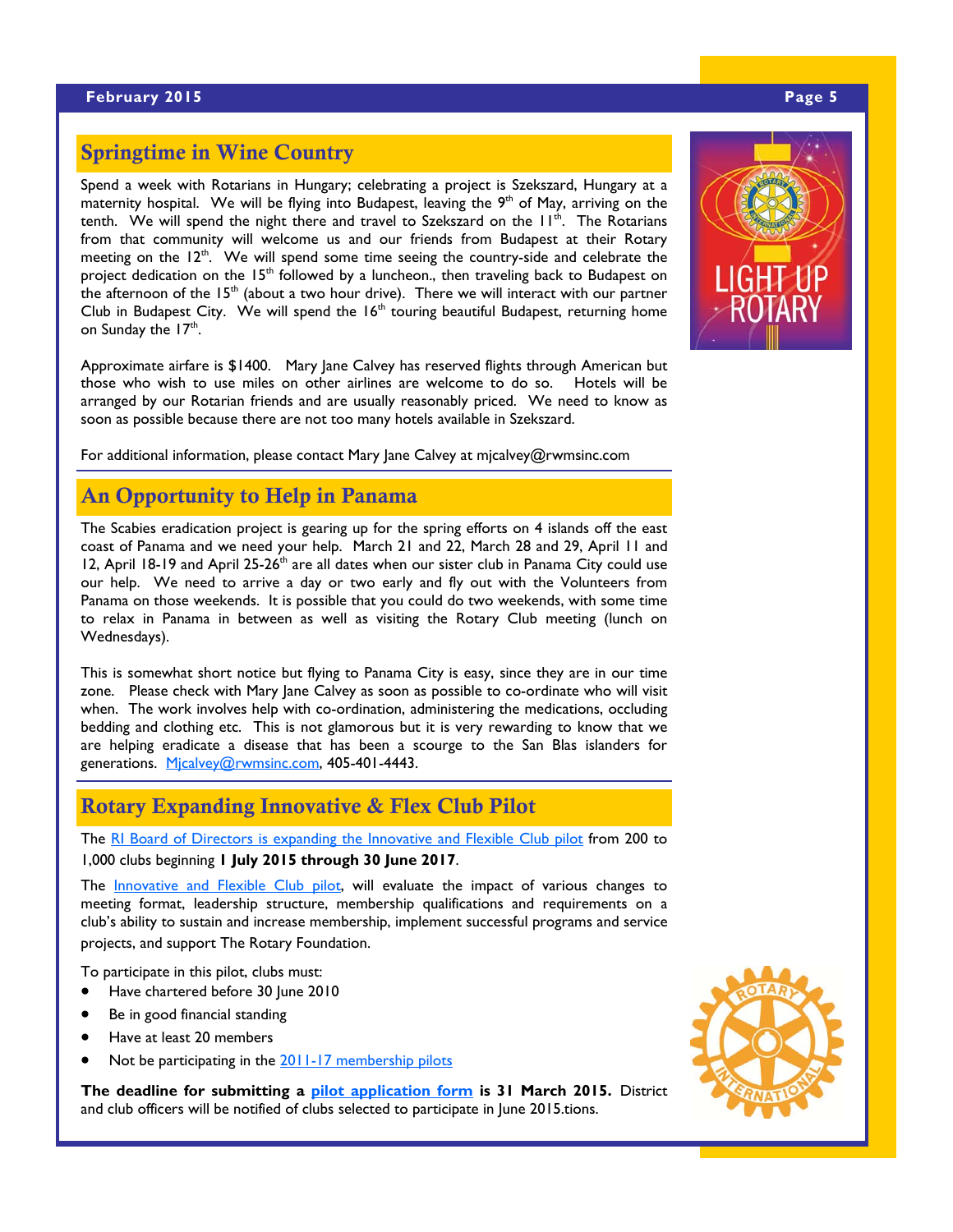#### **February 2015 Page 5 Page 5**

### Springtime in Wine Country

Spend a week with Rotarians in Hungary; celebrating a project is Szekszard, Hungary at a maternity hospital. We will be flying into Budapest, leaving the  $9<sup>th</sup>$  of May, arriving on the tenth. We will spend the night there and travel to Szekszard on the  $H^{\text{th}}$ . The Rotarians from that community will welcome us and our friends from Budapest at their Rotary meeting on the  $12<sup>th</sup>$ . We will spend some time seeing the country-side and celebrate the project dedication on the  $15<sup>th</sup>$  followed by a luncheon., then traveling back to Budapest on the afternoon of the  $15<sup>th</sup>$  (about a two hour drive). There we will interact with our partner Club in Budapest City. We will spend the  $16<sup>th</sup>$  touring beautiful Budapest, returning home on Sunday the 17<sup>th</sup>.

Approximate airfare is \$1400. Mary Jane Calvey has reserved flights through American but those who wish to use miles on other airlines are welcome to do so. Hotels will be arranged by our Rotarian friends and are usually reasonably priced. We need to know as soon as possible because there are not too many hotels available in Szekszard.

For additional information, please contact Mary Jane Calvey at mjcalvey@rwmsinc.com

#### An Opportunity to Help in Panama

The Scabies eradication project is gearing up for the spring efforts on 4 islands off the east coast of Panama and we need your help. March 21 and 22, March 28 and 29, April 11 and 12, April 18-19 and April 25-26<sup>th</sup> are all dates when our sister club in Panama City could use our help. We need to arrive a day or two early and fly out with the Volunteers from Panama on those weekends. It is possible that you could do two weekends, with some time to relax in Panama in between as well as visiting the Rotary Club meeting (lunch on Wednesdays).

This is somewhat short notice but flying to Panama City is easy, since they are in our time zone. Please check with Mary Jane Calvey as soon as possible to co-ordinate who will visit when. The work involves help with co-ordination, administering the medications, occluding bedding and clothing etc. This is not glamorous but it is very rewarding to know that we are helping eradicate a disease that has been a scourge to the San Blas islanders for generations. Micalvey@rwmsinc.com, 405-401-4443.

#### Rotary Expanding Innovative & Flex Club Pilot

The RI Board of Directors is expanding the Innovative and Flexible Club pilot from 200 to 1,000 clubs beginning **1 July 2015 through 30 June 2017**.

The **Innovative and Flexible Club pilot**, will evaluate the impact of various changes to meeting format, leadership structure, membership qualifications and requirements on a club's ability to sustain and increase membership, implement successful programs and service projects, and support The Rotary Foundation.

To participate in this pilot, clubs must:

- Have chartered before 30 June 2010
- Be in good financial standing
- Have at least 20 members
- Not be participating in the 2011-17 membership pilots

**The deadline for submitting a pilot application form is 31 March 2015.** District and club officers will be notified of clubs selected to participate in June 2015.tions.



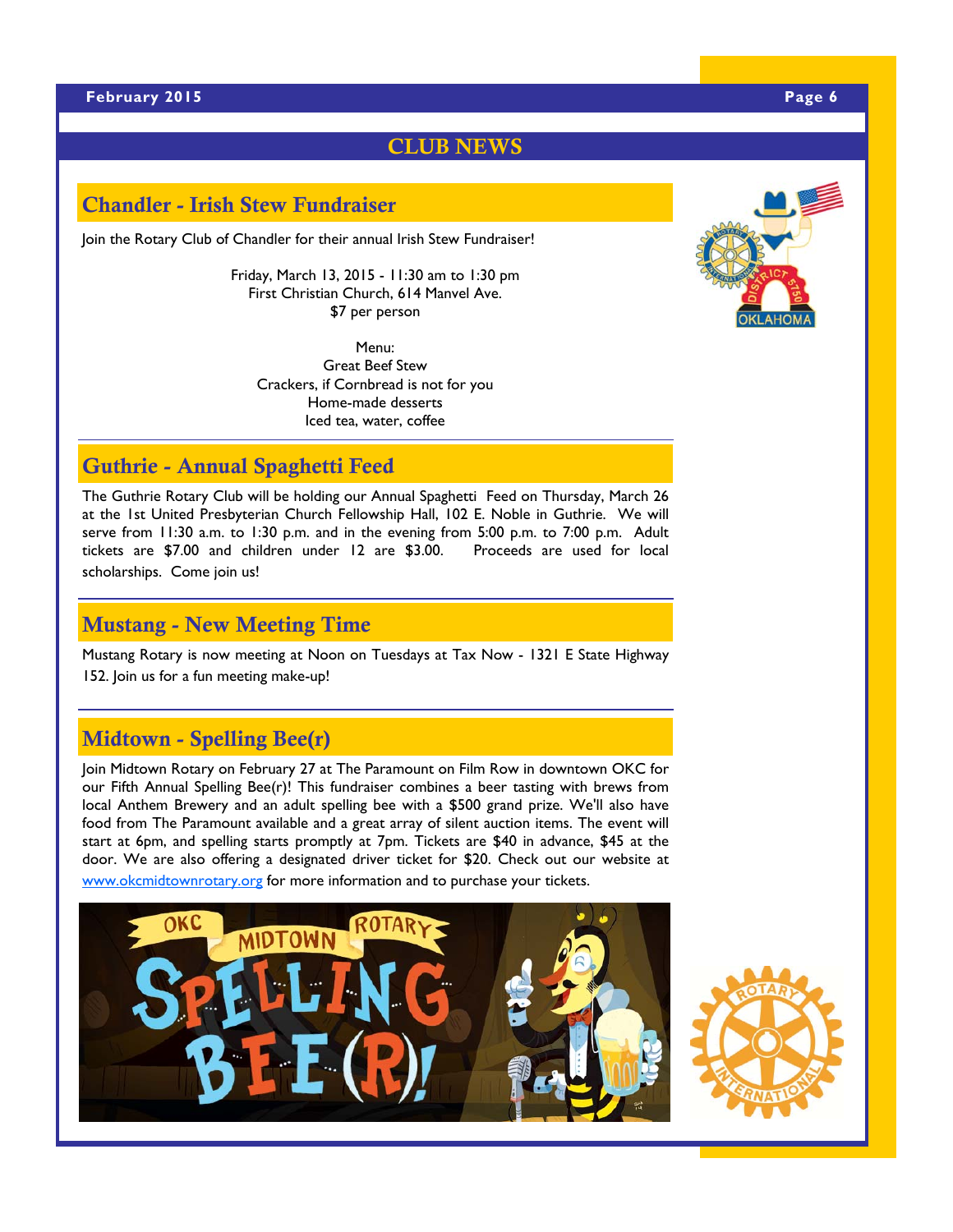#### CLUB NEWS

#### Chandler - Irish Stew Fundraiser

Join the Rotary Club of Chandler for their annual Irish Stew Fundraiser!

Friday, March 13, 2015 - 11:30 am to 1:30 pm First Christian Church, 614 Manvel Ave. \$7 per person

Menu: Great Beef Stew Crackers, if Cornbread is not for you Home-made desserts Iced tea, water, coffee

### Guthrie - Annual Spaghetti Feed

The Guthrie Rotary Club will be holding our Annual Spaghetti Feed on Thursday, March 26 at the 1st United Presbyterian Church Fellowship Hall, 102 E. Noble in Guthrie. We will serve from 11:30 a.m. to 1:30 p.m. and in the evening from 5:00 p.m. to 7:00 p.m. Adult tickets are \$7.00 and children under 12 are \$3.00. Proceeds are used for local scholarships. Come join us!

#### Mustang - New Meeting Time

Mustang Rotary is now meeting at Noon on Tuesdays at Tax Now - 1321 E State Highway 152. Join us for a fun meeting make-up!

# Midtown - Spelling Bee(r)

Join Midtown Rotary on February 27 at The Paramount on Film Row in downtown OKC for our Fifth Annual Spelling Bee(r)! This fundraiser combines a beer tasting with brews from local Anthem Brewery and an adult spelling bee with a \$500 grand prize. We'll also have food from The Paramount available and a great array of silent auction items. The event will start at 6pm, and spelling starts promptly at 7pm. Tickets are \$40 in advance, \$45 at the door. We are also offering a designated driver ticket for \$20. Check out our website at www.okcmidtownrotary.org for more information and to purchase your tickets.





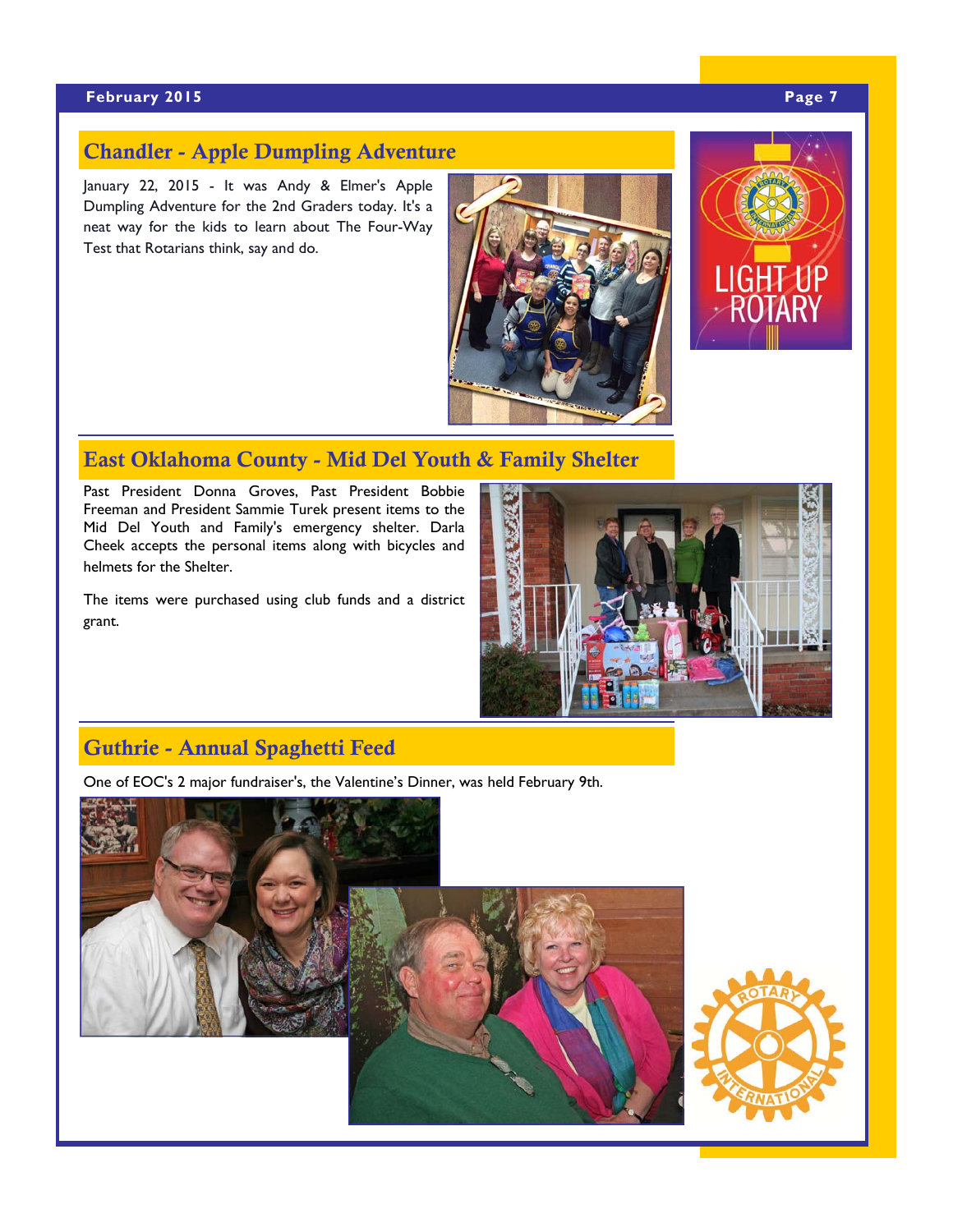#### **February 2015 Page 7 Page 7**

### Chandler - Apple Dumpling Adventure

January 22, 2015 - It was Andy & Elmer's Apple Dumpling Adventure for the 2nd Graders today. It's a neat way for the kids to learn about The Four-Way Test that Rotarians think, say and do.





# East Oklahoma County - Mid Del Youth & Family Shelter

Past President Donna Groves, Past President Bobbie Freeman and President Sammie Turek present items to the Mid Del Youth and Family's emergency shelter. Darla Cheek accepts the personal items along with bicycles and helmets for the Shelter.

The items were purchased using club funds and a district grant.



# Guthrie - Annual Spaghetti Feed

One of EOC's 2 major fundraiser's, the Valentine's Dinner, was held February 9th.